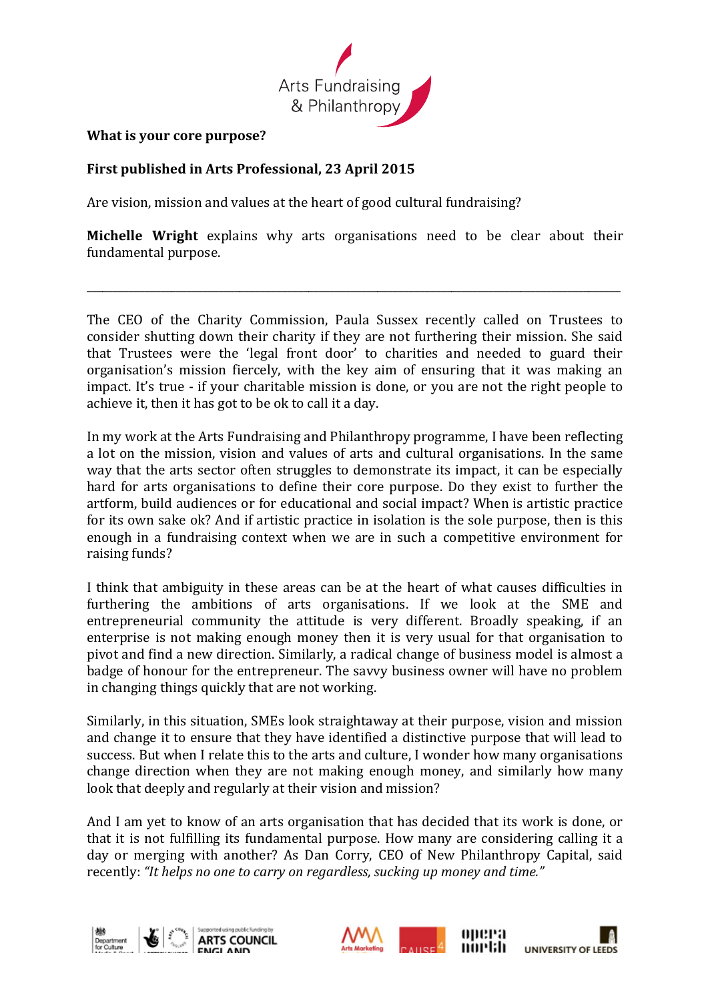

## **What is your core purpose?**

## First published in Arts Professional, 23 April 2015

Are vision, mission and values at the heart of good cultural fundraising?

**Michelle Wright** explains why arts organisations need to be clear about their fundamental purpose.

\_\_\_\_\_\_\_\_\_\_\_\_\_\_\_\_\_\_\_\_\_\_\_\_\_\_\_\_\_\_\_\_\_\_\_\_\_\_\_\_\_\_\_\_\_\_\_\_\_\_\_\_\_\_\_\_\_\_\_\_\_\_\_\_\_\_\_\_\_\_\_\_\_\_\_\_\_\_\_\_\_\_\_\_\_\_\_\_\_\_\_\_\_\_\_\_\_\_\_\_\_

The CEO of the Charity Commission, Paula Sussex recently called on Trustees to consider shutting down their charity if they are not furthering their mission. She said that Trustees were the 'legal front door' to charities and needed to guard their organisation's mission fiercely, with the key aim of ensuring that it was making an impact. It's true - if your charitable mission is done, or you are not the right people to achieve it, then it has got to be ok to call it a day.

In my work at the Arts Fundraising and Philanthropy programme, I have been reflecting a lot on the mission, vision and values of arts and cultural organisations. In the same way that the arts sector often struggles to demonstrate its impact, it can be especially hard for arts organisations to define their core purpose. Do they exist to further the artform, build audiences or for educational and social impact? When is artistic practice for its own sake ok? And if artistic practice in isolation is the sole purpose, then is this enough in a fundraising context when we are in such a competitive environment for raising funds?

I think that ambiguity in these areas can be at the heart of what causes difficulties in furthering the ambitions of arts organisations. If we look at the SME and entrepreneurial community the attitude is very different. Broadly speaking, if an enterprise is not making enough money then it is very usual for that organisation to pivot and find a new direction. Similarly, a radical change of business model is almost a badge of honour for the entrepreneur. The savvy business owner will have no problem in changing things quickly that are not working.

Similarly, in this situation, SMEs look straightaway at their purpose, vision and mission and change it to ensure that they have identified a distinctive purpose that will lead to success. But when I relate this to the arts and culture, I wonder how many organisations change direction when they are not making enough money, and similarly how many look that deeply and regularly at their vision and mission?

And I am yet to know of an arts organisation that has decided that its work is done, or that it is not fulfilling its fundamental purpose. How many are considering calling it a day or merging with another? As Dan Corry, CEO of New Philanthropy Capital, said recently: "It helps no one to carry on regardless, sucking up money and time."





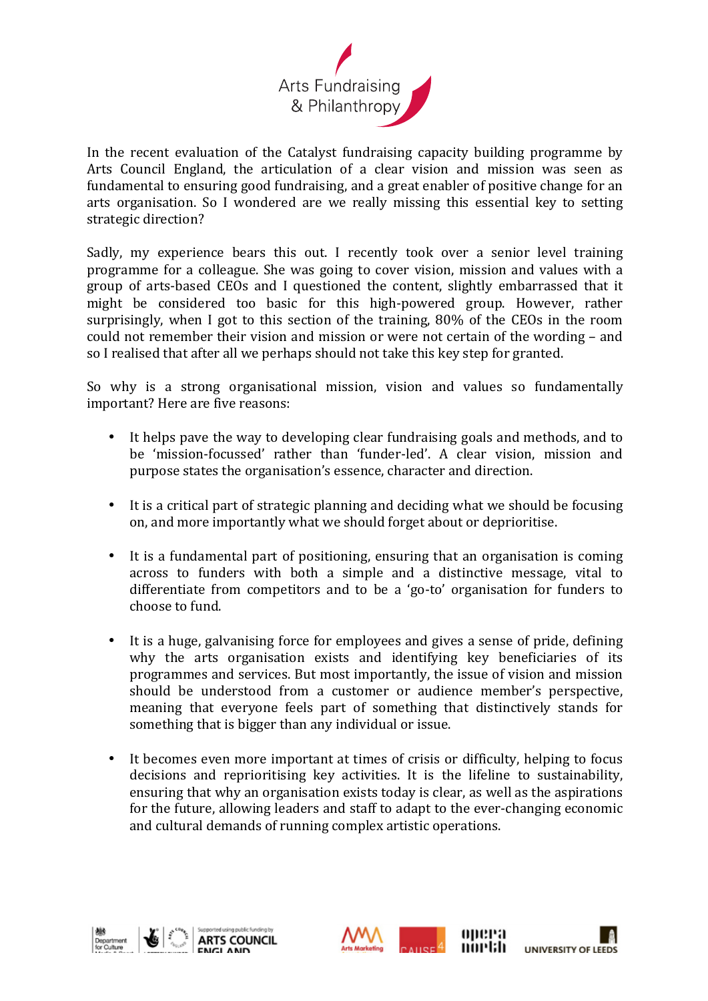

In the recent evaluation of the Catalyst fundraising capacity building programme by Arts Council England, the articulation of a clear vision and mission was seen as fundamental to ensuring good fundraising, and a great enabler of positive change for an arts organisation. So I wondered are we really missing this essential key to setting strategic direction?

Sadly, my experience bears this out. I recently took over a senior level training programme for a colleague. She was going to cover vision, mission and values with a group of arts-based CEOs and I questioned the content, slightly embarrassed that it might be considered too basic for this high-powered group. However, rather surprisingly, when I got to this section of the training,  $80\%$  of the CEOs in the room could not remember their vision and mission or were not certain of the wording – and so I realised that after all we perhaps should not take this key step for granted.

So why is a strong organisational mission, vision and values so fundamentally important? Here are five reasons:

- It helps pave the way to developing clear fundraising goals and methods, and to be 'mission-focussed' rather than 'funder-led'. A clear vision, mission and purpose states the organisation's essence, character and direction.
- It is a critical part of strategic planning and deciding what we should be focusing on, and more importantly what we should forget about or deprioritise.
- It is a fundamental part of positioning, ensuring that an organisation is coming across to funders with both a simple and a distinctive message, vital to differentiate from competitors and to be a 'go-to' organisation for funders to choose to fund.
- It is a huge, galvanising force for employees and gives a sense of pride, defining why the arts organisation exists and identifying key beneficiaries of its programmes and services. But most importantly, the issue of vision and mission should be understood from a customer or audience member's perspective, meaning that everyone feels part of something that distinctively stands for something that is bigger than any individual or issue.
- It becomes even more important at times of crisis or difficulty, helping to focus decisions and reprioritising key activities. It is the lifeline to sustainability, ensuring that why an organisation exists today is clear, as well as the aspirations for the future, allowing leaders and staff to adapt to the ever-changing economic and cultural demands of running complex artistic operations.